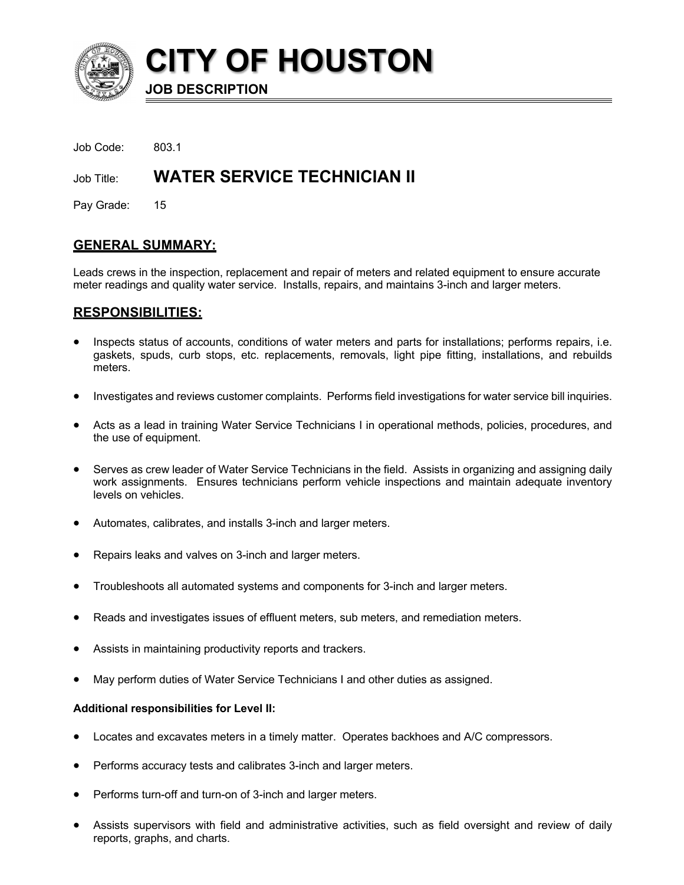

**CITY OF HOUSTON**

**JOB DESCRIPTION**

Job Code: 803.1

Job Title: **WATER SERVICE TECHNICIAN II**

Pay Grade: 15

# **GENERAL SUMMARY:**

Leads crews in the inspection, replacement and repair of meters and related equipment to ensure accurate meter readings and quality water service. Installs, repairs, and maintains 3-inch and larger meters.

## **RESPONSIBILITIES:**

- Inspects status of accounts, conditions of water meters and parts for installations; performs repairs, i.e. gaskets, spuds, curb stops, etc. replacements, removals, light pipe fitting, installations, and rebuilds meters.
- Investigates and reviews customer complaints. Performs field investigations for water service bill inquiries.
- Acts as a lead in training Water Service Technicians I in operational methods, policies, procedures, and the use of equipment.
- Serves as crew leader of Water Service Technicians in the field. Assists in organizing and assigning daily work assignments. Ensures technicians perform vehicle inspections and maintain adequate inventory levels on vehicles.
- Automates, calibrates, and installs 3-inch and larger meters.
- Repairs leaks and valves on 3-inch and larger meters.
- Troubleshoots all automated systems and components for 3-inch and larger meters.
- Reads and investigates issues of effluent meters, sub meters, and remediation meters.
- Assists in maintaining productivity reports and trackers.
- May perform duties of Water Service Technicians I and other duties as assigned.

### **Additional responsibilities for Level II:**

- Locates and excavates meters in a timely matter. Operates backhoes and A/C compressors.
- Performs accuracy tests and calibrates 3-inch and larger meters.
- Performs turn-off and turn-on of 3-inch and larger meters.
- Assists supervisors with field and administrative activities, such as field oversight and review of daily reports, graphs, and charts.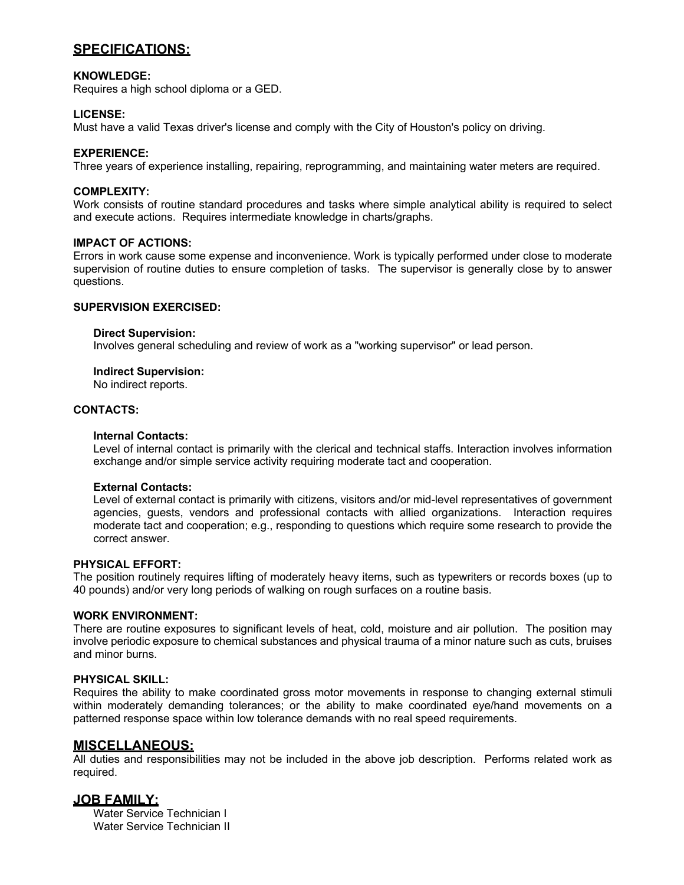# **SPECIFICATIONS:**

## **KNOWLEDGE:**

Requires a high school diploma or a GED.

## **LICENSE:**

Must have a valid Texas driver's license and comply with the City of Houston's policy on driving.

## **EXPERIENCE:**

Three years of experience installing, repairing, reprogramming, and maintaining water meters are required.

## **COMPLEXITY:**

Work consists of routine standard procedures and tasks where simple analytical ability is required to select and execute actions. Requires intermediate knowledge in charts/graphs.

### **IMPACT OF ACTIONS:**

Errors in work cause some expense and inconvenience. Work is typically performed under close to moderate supervision of routine duties to ensure completion of tasks. The supervisor is generally close by to answer questions.

## **SUPERVISION EXERCISED:**

#### **Direct Supervision:**

Involves general scheduling and review of work as a "working supervisor" or lead person.

## **Indirect Supervision:**

No indirect reports.

#### **CONTACTS:**

### **Internal Contacts:**

Level of internal contact is primarily with the clerical and technical staffs. Interaction involves information exchange and/or simple service activity requiring moderate tact and cooperation.

### **External Contacts:**

Level of external contact is primarily with citizens, visitors and/or mid-level representatives of government agencies, guests, vendors and professional contacts with allied organizations. Interaction requires moderate tact and cooperation; e.g., responding to questions which require some research to provide the correct answer.

### **PHYSICAL EFFORT:**

The position routinely requires lifting of moderately heavy items, such as typewriters or records boxes (up to 40 pounds) and/or very long periods of walking on rough surfaces on a routine basis.

### **WORK ENVIRONMENT:**

There are routine exposures to significant levels of heat, cold, moisture and air pollution. The position may involve periodic exposure to chemical substances and physical trauma of a minor nature such as cuts, bruises and minor burns.

### **PHYSICAL SKILL:**

Requires the ability to make coordinated gross motor movements in response to changing external stimuli within moderately demanding tolerances; or the ability to make coordinated eye/hand movements on a patterned response space within low tolerance demands with no real speed requirements.

## **MISCELLANEOUS:**

All duties and responsibilities may not be included in the above job description. Performs related work as required.

## **JOB FAMILY:**

Water Service Technician I Water Service Technician II